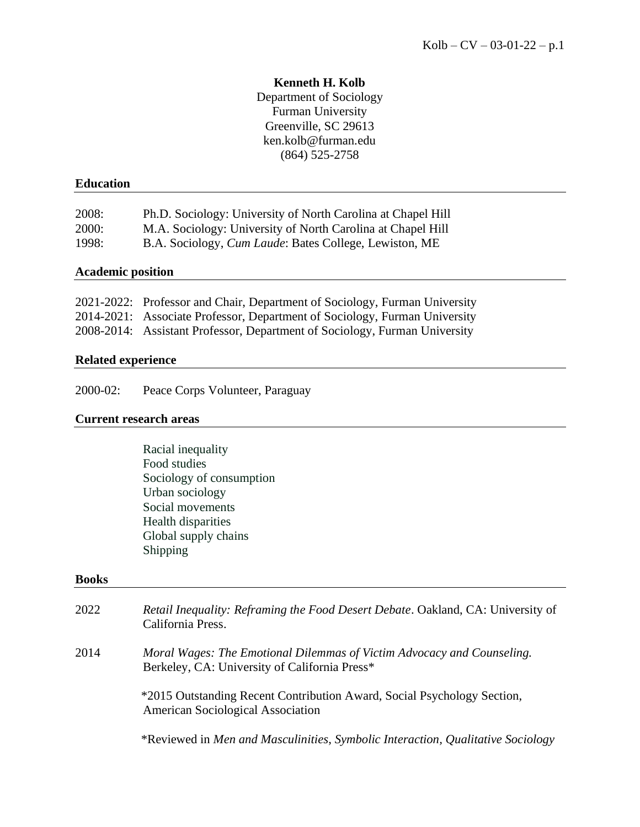# **Kenneth H. Kolb**

Department of Sociology Furman University Greenville, SC 29613 ken.kolb@furman.edu (864) 525-2758

# **Education**

| 2008:        | Ph.D. Sociology: University of North Carolina at Chapel Hill   |
|--------------|----------------------------------------------------------------|
| <b>2000:</b> | M.A. Sociology: University of North Carolina at Chapel Hill    |
| 1998:        | B.A. Sociology, <i>Cum Laude</i> : Bates College, Lewiston, ME |

# **Academic position**

| 2021-2022: Professor and Chair, Department of Sociology, Furman University |
|----------------------------------------------------------------------------|
| 2014-2021: Associate Professor, Department of Sociology, Furman University |
| 2008-2014: Assistant Professor, Department of Sociology, Furman University |

# **Related experience**

2000-02: Peace Corps Volunteer, Paraguay

### **Current research areas**

| Racial inequality        |
|--------------------------|
| Food studies             |
| Sociology of consumption |
| Urban sociology          |
| Social movements         |
| Health disparities       |
| Global supply chains     |
| Shipping                 |

#### **Books**

| 2022 | <i>Retail Inequality: Reframing the Food Desert Debate. Oakland, CA: University of</i><br>California Press.             |
|------|-------------------------------------------------------------------------------------------------------------------------|
| 2014 | Moral Wages: The Emotional Dilemmas of Victim Advocacy and Counseling.<br>Berkeley, CA: University of California Press* |
|      | *2015 Outstanding Recent Contribution Award, Social Psychology Section,<br><b>American Sociological Association</b>     |
|      | *Reviewed in Men and Masculinities, Symbolic Interaction, Qualitative Sociology                                         |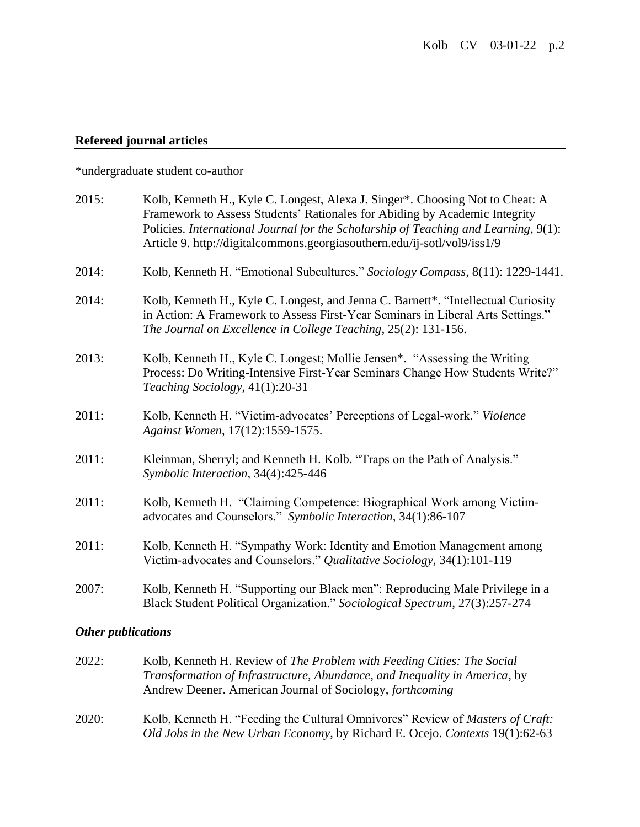### **Refereed journal articles**

\*undergraduate student co-author

| 2015: | Kolb, Kenneth H., Kyle C. Longest, Alexa J. Singer*. Choosing Not to Cheat: A<br>Framework to Assess Students' Rationales for Abiding by Academic Integrity<br>Policies. International Journal for the Scholarship of Teaching and Learning, 9(1):<br>Article 9. http://digitalcommons.georgiasouthern.edu/ij-sotl/vol9/iss1/9 |
|-------|--------------------------------------------------------------------------------------------------------------------------------------------------------------------------------------------------------------------------------------------------------------------------------------------------------------------------------|
| 2014: | Kolb, Kenneth H. "Emotional Subcultures." Sociology Compass, 8(11): 1229-1441.                                                                                                                                                                                                                                                 |
| 2014: | Kolb, Kenneth H., Kyle C. Longest, and Jenna C. Barnett*. "Intellectual Curiosity<br>in Action: A Framework to Assess First-Year Seminars in Liberal Arts Settings."<br>The Journal on Excellence in College Teaching, 25(2): 131-156.                                                                                         |
| 2013: | Kolb, Kenneth H., Kyle C. Longest; Mollie Jensen*. "Assessing the Writing<br>Process: Do Writing-Intensive First-Year Seminars Change How Students Write?"<br>Teaching Sociology, 41(1):20-31                                                                                                                                  |
| 2011: | Kolb, Kenneth H. "Victim-advocates' Perceptions of Legal-work." Violence<br>Against Women, 17(12):1559-1575.                                                                                                                                                                                                                   |
| 2011: | Kleinman, Sherryl; and Kenneth H. Kolb. "Traps on the Path of Analysis."<br>Symbolic Interaction, 34(4):425-446                                                                                                                                                                                                                |
| 2011: | Kolb, Kenneth H. "Claiming Competence: Biographical Work among Victim-<br>advocates and Counselors." Symbolic Interaction, 34(1):86-107                                                                                                                                                                                        |
| 2011: | Kolb, Kenneth H. "Sympathy Work: Identity and Emotion Management among<br>Victim-advocates and Counselors." Qualitative Sociology, 34(1):101-119                                                                                                                                                                               |
| 2007: | Kolb, Kenneth H. "Supporting our Black men": Reproducing Male Privilege in a<br>Black Student Political Organization." Sociological Spectrum, 27(3):257-274                                                                                                                                                                    |

#### *Other publications*

- 2022: Kolb, Kenneth H. Review of *The Problem with Feeding Cities: The Social Transformation of Infrastructure, Abundance, and Inequality in America*, by Andrew Deener. American Journal of Sociology, *forthcoming*
- 2020: Kolb, Kenneth H. "Feeding the Cultural Omnivores" Review of *Masters of Craft: Old Jobs in the New Urban Economy*, by Richard E. Ocejo. *Contexts* 19(1):62-63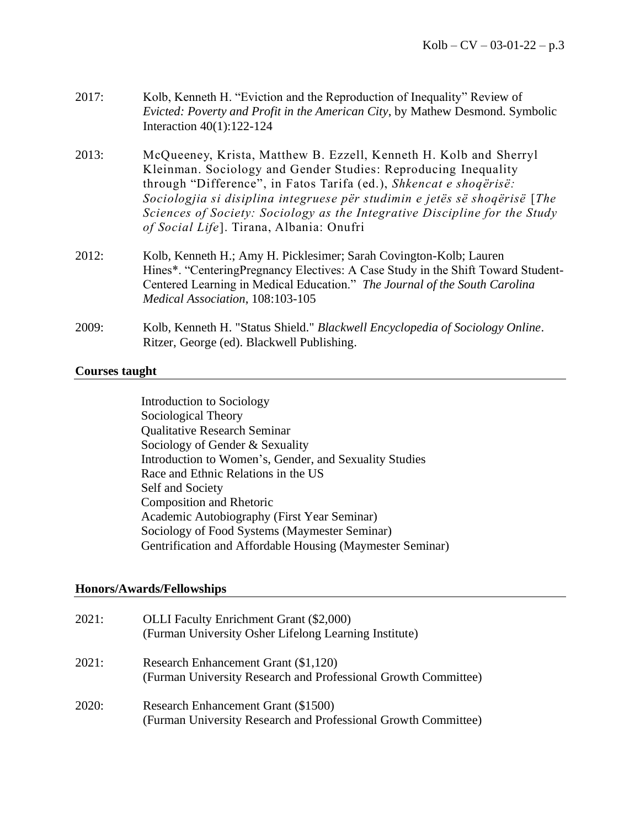- 2017: Kolb, Kenneth H. "Eviction and the Reproduction of Inequality" Review of *Evicted: Poverty and Profit in the American City*, by Mathew Desmond. Symbolic Interaction 40(1):122-124
- 2013:McQueeney, Krista, Matthew B. Ezzell, Kenneth H. Kolb and Sherryl Kleinman. Sociology and Gender Studies: Reproducing Inequality through "Difference", in Fatos Tarifa (ed.), *Shkencat e shoqërisë: Sociologjia si disiplina integruese për studimin e jetës së shoqërisë* [*The Sciences of Society: Sociology as the Integrative Discipline for the Study of Social Life*]. Tirana, Albania: Onufri
- 2012: Kolb, Kenneth H.; Amy H. Picklesimer; Sarah Covington-Kolb; Lauren Hines\*. "CenteringPregnancy Electives: A Case Study in the Shift Toward Student-Centered Learning in Medical Education." *The Journal of the South Carolina Medical Association*, 108:103-105
- 2009: Kolb, Kenneth H. "Status Shield." *Blackwell Encyclopedia of Sociology Online*. Ritzer, George (ed). Blackwell Publishing.

# **Courses taught**

Introduction to Sociology Sociological Theory Qualitative Research Seminar Sociology of Gender & Sexuality Introduction to Women's, Gender, and Sexuality Studies Race and Ethnic Relations in the US Self and Society Composition and Rhetoric Academic Autobiography (First Year Seminar) Sociology of Food Systems (Maymester Seminar) Gentrification and Affordable Housing (Maymester Seminar)

# **Honors/Awards/Fellowships**

| 2021: | <b>OLLI</b> Faculty Enrichment Grant (\$2,000)<br>(Furman University Osher Lifelong Learning Institute) |
|-------|---------------------------------------------------------------------------------------------------------|
| 2021: | Research Enhancement Grant (\$1,120)<br>(Furman University Research and Professional Growth Committee)  |
| 2020: | Research Enhancement Grant (\$1500)<br>(Furman University Research and Professional Growth Committee)   |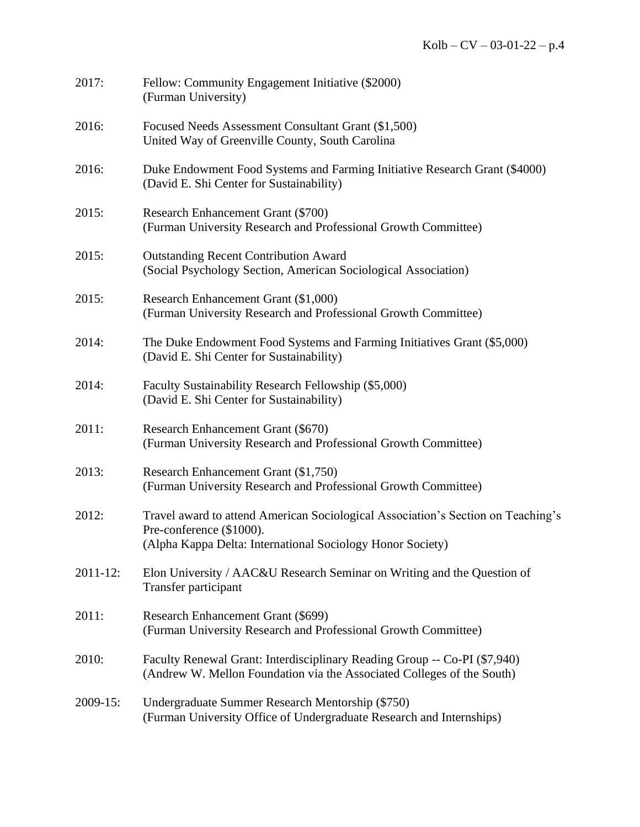| 2017:         | Fellow: Community Engagement Initiative (\$2000)<br>(Furman University)                                                                                                    |
|---------------|----------------------------------------------------------------------------------------------------------------------------------------------------------------------------|
| 2016:         | Focused Needs Assessment Consultant Grant (\$1,500)<br>United Way of Greenville County, South Carolina                                                                     |
| 2016:         | Duke Endowment Food Systems and Farming Initiative Research Grant (\$4000)<br>(David E. Shi Center for Sustainability)                                                     |
| 2015:         | Research Enhancement Grant (\$700)<br>(Furman University Research and Professional Growth Committee)                                                                       |
| 2015:         | <b>Outstanding Recent Contribution Award</b><br>(Social Psychology Section, American Sociological Association)                                                             |
| 2015:         | Research Enhancement Grant (\$1,000)<br>(Furman University Research and Professional Growth Committee)                                                                     |
| 2014:         | The Duke Endowment Food Systems and Farming Initiatives Grant (\$5,000)<br>(David E. Shi Center for Sustainability)                                                        |
| 2014:         | Faculty Sustainability Research Fellowship (\$5,000)<br>(David E. Shi Center for Sustainability)                                                                           |
| 2011:         | Research Enhancement Grant (\$670)<br>(Furman University Research and Professional Growth Committee)                                                                       |
| 2013:         | Research Enhancement Grant (\$1,750)<br>(Furman University Research and Professional Growth Committee)                                                                     |
| 2012:         | Travel award to attend American Sociological Association's Section on Teaching's<br>Pre-conference (\$1000).<br>(Alpha Kappa Delta: International Sociology Honor Society) |
| $2011 - 12$ : | Elon University / AAC&U Research Seminar on Writing and the Question of<br>Transfer participant                                                                            |
| 2011:         | Research Enhancement Grant (\$699)<br>(Furman University Research and Professional Growth Committee)                                                                       |
| 2010:         | Faculty Renewal Grant: Interdisciplinary Reading Group -- Co-PI (\$7,940)<br>(Andrew W. Mellon Foundation via the Associated Colleges of the South)                        |
| 2009-15:      | Undergraduate Summer Research Mentorship (\$750)<br>(Furman University Office of Undergraduate Research and Internships)                                                   |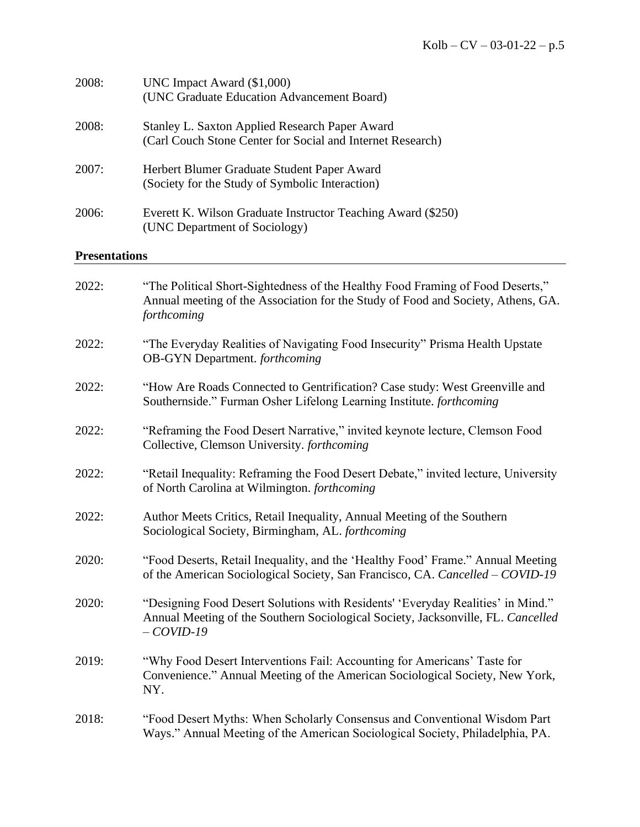| 2008:                | UNC Impact Award (\$1,000)<br>(UNC Graduate Education Advancement Board)                                                                                                           |
|----------------------|------------------------------------------------------------------------------------------------------------------------------------------------------------------------------------|
| 2008:                | <b>Stanley L. Saxton Applied Research Paper Award</b><br>(Carl Couch Stone Center for Social and Internet Research)                                                                |
| 2007:                | Herbert Blumer Graduate Student Paper Award<br>(Society for the Study of Symbolic Interaction)                                                                                     |
| 2006:                | Everett K. Wilson Graduate Instructor Teaching Award (\$250)<br>(UNC Department of Sociology)                                                                                      |
| <b>Presentations</b> |                                                                                                                                                                                    |
| 2022:                | "The Political Short-Sightedness of the Healthy Food Framing of Food Deserts,"<br>Annual meeting of the Association for the Study of Food and Society, Athens, GA.<br>forthcoming  |
| 2022:                | "The Everyday Realities of Navigating Food Insecurity" Prisma Health Upstate<br><b>OB-GYN</b> Department. forthcoming                                                              |
| 2022:                | "How Are Roads Connected to Gentrification? Case study: West Greenville and<br>Southernside." Furman Osher Lifelong Learning Institute. forthcoming                                |
| 2022:                | "Reframing the Food Desert Narrative," invited keynote lecture, Clemson Food<br>Collective, Clemson University. forthcoming                                                        |
| 2022:                | "Retail Inequality: Reframing the Food Desert Debate," invited lecture, University<br>of North Carolina at Wilmington. forthcoming                                                 |
| 2022:                | Author Meets Critics, Retail Inequality, Annual Meeting of the Southern<br>Sociological Society, Birmingham, AL. forthcoming                                                       |
| 2020:                | "Food Deserts, Retail Inequality, and the 'Healthy Food' Frame." Annual Meeting<br>of the American Sociological Society, San Francisco, CA. Cancelled – COVID-19                   |
| 2020:                | "Designing Food Desert Solutions with Residents' 'Everyday Realities' in Mind."<br>Annual Meeting of the Southern Sociological Society, Jacksonville, FL. Cancelled<br>$-COVID-19$ |
| 2019:                | "Why Food Desert Interventions Fail: Accounting for Americans' Taste for<br>Convenience." Annual Meeting of the American Sociological Society, New York,<br>NY.                    |
| 2018:                | "Food Desert Myths: When Scholarly Consensus and Conventional Wisdom Part<br>Ways." Annual Meeting of the American Sociological Society, Philadelphia, PA.                         |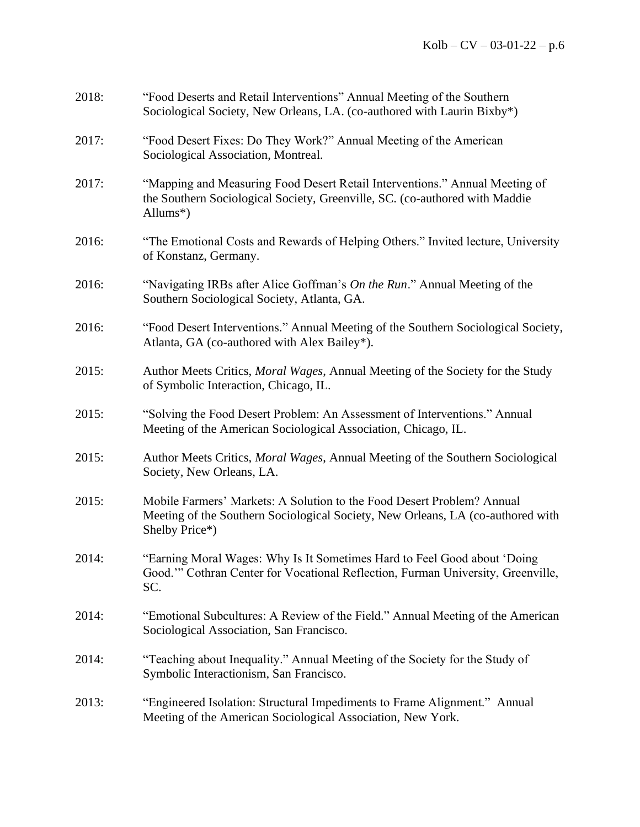| 2018: | "Food Deserts and Retail Interventions" Annual Meeting of the Southern<br>Sociological Society, New Orleans, LA. (co-authored with Laurin Bixby*)                                   |
|-------|-------------------------------------------------------------------------------------------------------------------------------------------------------------------------------------|
| 2017: | "Food Desert Fixes: Do They Work?" Annual Meeting of the American<br>Sociological Association, Montreal.                                                                            |
| 2017: | "Mapping and Measuring Food Desert Retail Interventions." Annual Meeting of<br>the Southern Sociological Society, Greenville, SC. (co-authored with Maddie<br>Allums <sup>*</sup> ) |
| 2016: | "The Emotional Costs and Rewards of Helping Others." Invited lecture, University<br>of Konstanz, Germany.                                                                           |
| 2016: | "Navigating IRBs after Alice Goffman's On the Run." Annual Meeting of the<br>Southern Sociological Society, Atlanta, GA.                                                            |
| 2016: | "Food Desert Interventions." Annual Meeting of the Southern Sociological Society,<br>Atlanta, GA (co-authored with Alex Bailey*).                                                   |
| 2015: | Author Meets Critics, <i>Moral Wages</i> , Annual Meeting of the Society for the Study<br>of Symbolic Interaction, Chicago, IL.                                                     |
| 2015: | "Solving the Food Desert Problem: An Assessment of Interventions." Annual<br>Meeting of the American Sociological Association, Chicago, IL.                                         |
| 2015: | Author Meets Critics, <i>Moral Wages</i> , Annual Meeting of the Southern Sociological<br>Society, New Orleans, LA.                                                                 |
| 2015: | Mobile Farmers' Markets: A Solution to the Food Desert Problem? Annual<br>Meeting of the Southern Sociological Society, New Orleans, LA (co-authored with<br>Shelby Price*)         |
| 2014: | "Earning Moral Wages: Why Is It Sometimes Hard to Feel Good about 'Doing<br>Good." Cothran Center for Vocational Reflection, Furman University, Greenville,<br>SC.                  |
| 2014: | "Emotional Subcultures: A Review of the Field." Annual Meeting of the American<br>Sociological Association, San Francisco.                                                          |
| 2014: | "Teaching about Inequality." Annual Meeting of the Society for the Study of<br>Symbolic Interactionism, San Francisco.                                                              |
| 2013: | "Engineered Isolation: Structural Impediments to Frame Alignment." Annual<br>Meeting of the American Sociological Association, New York.                                            |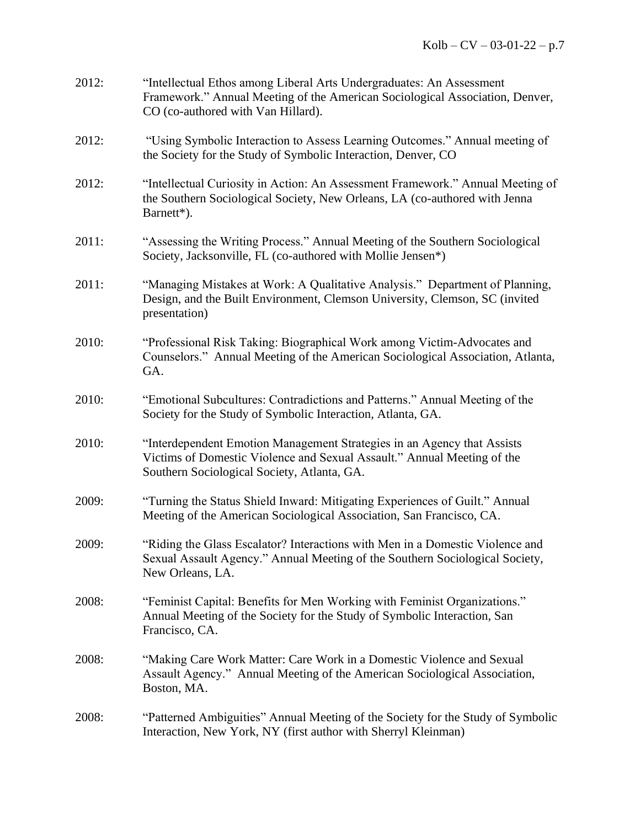| 2012: | "Intellectual Ethos among Liberal Arts Undergraduates: An Assessment<br>Framework." Annual Meeting of the American Sociological Association, Denver,<br>CO (co-authored with Van Hillard).        |
|-------|---------------------------------------------------------------------------------------------------------------------------------------------------------------------------------------------------|
| 2012: | "Using Symbolic Interaction to Assess Learning Outcomes." Annual meeting of<br>the Society for the Study of Symbolic Interaction, Denver, CO                                                      |
| 2012: | "Intellectual Curiosity in Action: An Assessment Framework." Annual Meeting of<br>the Southern Sociological Society, New Orleans, LA (co-authored with Jenna<br>Barnett*).                        |
| 2011: | "Assessing the Writing Process." Annual Meeting of the Southern Sociological<br>Society, Jacksonville, FL (co-authored with Mollie Jensen*)                                                       |
| 2011: | "Managing Mistakes at Work: A Qualitative Analysis." Department of Planning,<br>Design, and the Built Environment, Clemson University, Clemson, SC (invited<br>presentation)                      |
| 2010: | "Professional Risk Taking: Biographical Work among Victim-Advocates and<br>Counselors." Annual Meeting of the American Sociological Association, Atlanta,<br>GA.                                  |
| 2010: | "Emotional Subcultures: Contradictions and Patterns." Annual Meeting of the<br>Society for the Study of Symbolic Interaction, Atlanta, GA.                                                        |
| 2010: | "Interdependent Emotion Management Strategies in an Agency that Assists<br>Victims of Domestic Violence and Sexual Assault." Annual Meeting of the<br>Southern Sociological Society, Atlanta, GA. |
| 2009: | "Turning the Status Shield Inward: Mitigating Experiences of Guilt." Annual<br>Meeting of the American Sociological Association, San Francisco, CA.                                               |
| 2009: | "Riding the Glass Escalator? Interactions with Men in a Domestic Violence and<br>Sexual Assault Agency." Annual Meeting of the Southern Sociological Society,<br>New Orleans, LA.                 |
| 2008: | "Feminist Capital: Benefits for Men Working with Feminist Organizations."<br>Annual Meeting of the Society for the Study of Symbolic Interaction, San<br>Francisco, CA.                           |
| 2008: | "Making Care Work Matter: Care Work in a Domestic Violence and Sexual<br>Assault Agency." Annual Meeting of the American Sociological Association,<br>Boston, MA.                                 |
| 2008: | "Patterned Ambiguities" Annual Meeting of the Society for the Study of Symbolic<br>Interaction, New York, NY (first author with Sherryl Kleinman)                                                 |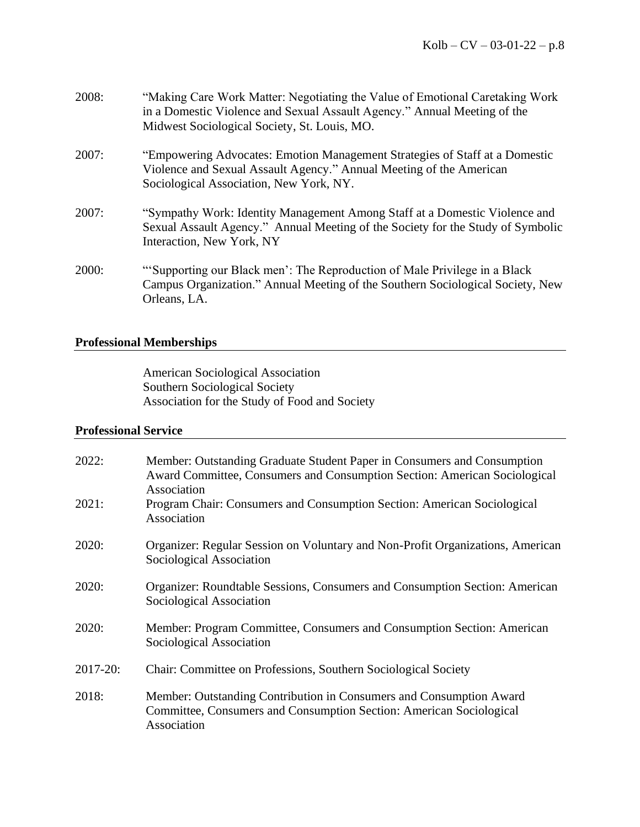| 2008: | "Making Care Work Matter: Negotiating the Value of Emotional Caretaking Work<br>in a Domestic Violence and Sexual Assault Agency." Annual Meeting of the<br>Midwest Sociological Society, St. Louis, MO. |
|-------|----------------------------------------------------------------------------------------------------------------------------------------------------------------------------------------------------------|
| 2007: | "Empowering Advocates: Emotion Management Strategies of Staff at a Domestic<br>Violence and Sexual Assault Agency." Annual Meeting of the American<br>Sociological Association, New York, NY.            |
| 2007: | "Sympathy Work: Identity Management Among Staff at a Domestic Violence and<br>Sexual Assault Agency." Annual Meeting of the Society for the Study of Symbolic<br>Interaction, New York, NY               |
| 2000: | "Supporting our Black men': The Reproduction of Male Privilege in a Black<br>Campus Organization." Annual Meeting of the Southern Sociological Society, New<br>Orleans, LA.                              |

# **Professional Memberships**

American Sociological Association Southern Sociological Society Association for the Study of Food and Society

# **Professional Service**

| 2022:    | Member: Outstanding Graduate Student Paper in Consumers and Consumption<br>Award Committee, Consumers and Consumption Section: American Sociological<br>Association |
|----------|---------------------------------------------------------------------------------------------------------------------------------------------------------------------|
| 2021:    | Program Chair: Consumers and Consumption Section: American Sociological<br>Association                                                                              |
| 2020:    | Organizer: Regular Session on Voluntary and Non-Profit Organizations, American<br>Sociological Association                                                          |
| 2020:    | Organizer: Roundtable Sessions, Consumers and Consumption Section: American<br>Sociological Association                                                             |
| 2020:    | Member: Program Committee, Consumers and Consumption Section: American<br>Sociological Association                                                                  |
| 2017-20: | Chair: Committee on Professions, Southern Sociological Society                                                                                                      |
| 2018:    | Member: Outstanding Contribution in Consumers and Consumption Award<br>Committee, Consumers and Consumption Section: American Sociological<br>Association           |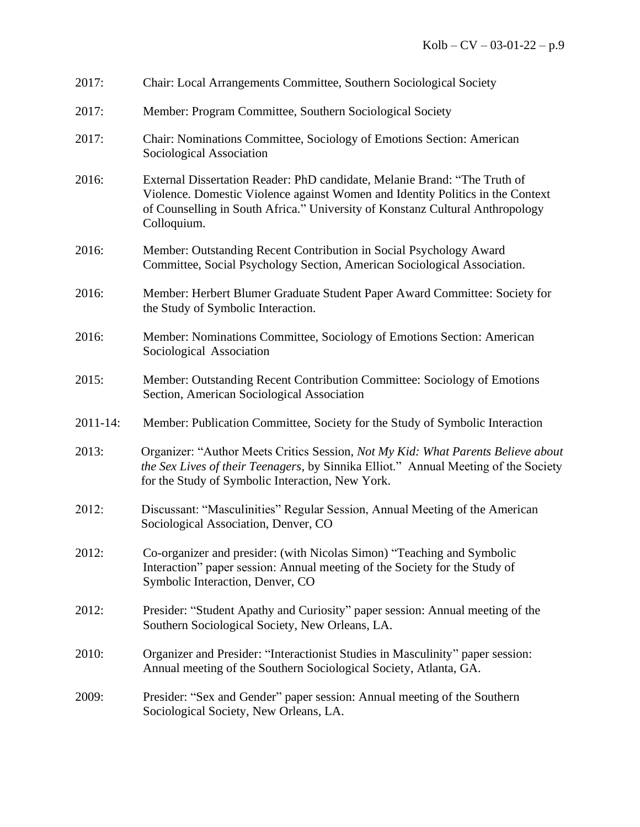| 2017:         | Chair: Local Arrangements Committee, Southern Sociological Society                                                                                                                                                                                          |
|---------------|-------------------------------------------------------------------------------------------------------------------------------------------------------------------------------------------------------------------------------------------------------------|
| 2017:         | Member: Program Committee, Southern Sociological Society                                                                                                                                                                                                    |
| 2017:         | Chair: Nominations Committee, Sociology of Emotions Section: American<br>Sociological Association                                                                                                                                                           |
| 2016:         | External Dissertation Reader: PhD candidate, Melanie Brand: "The Truth of<br>Violence. Domestic Violence against Women and Identity Politics in the Context<br>of Counselling in South Africa." University of Konstanz Cultural Anthropology<br>Colloquium. |
| 2016:         | Member: Outstanding Recent Contribution in Social Psychology Award<br>Committee, Social Psychology Section, American Sociological Association.                                                                                                              |
| 2016:         | Member: Herbert Blumer Graduate Student Paper Award Committee: Society for<br>the Study of Symbolic Interaction.                                                                                                                                            |
| 2016:         | Member: Nominations Committee, Sociology of Emotions Section: American<br>Sociological Association                                                                                                                                                          |
| 2015:         | Member: Outstanding Recent Contribution Committee: Sociology of Emotions<br>Section, American Sociological Association                                                                                                                                      |
| $2011 - 14$ : | Member: Publication Committee, Society for the Study of Symbolic Interaction                                                                                                                                                                                |
| 2013:         | Organizer: "Author Meets Critics Session, Not My Kid: What Parents Believe about<br>the Sex Lives of their Teenagers, by Sinnika Elliot." Annual Meeting of the Society<br>for the Study of Symbolic Interaction, New York.                                 |
| 2012:         | Discussant: "Masculinities" Regular Session, Annual Meeting of the American<br>Sociological Association, Denver, CO                                                                                                                                         |
| 2012:         | Co-organizer and presider: (with Nicolas Simon) "Teaching and Symbolic<br>Interaction" paper session: Annual meeting of the Society for the Study of<br>Symbolic Interaction, Denver, CO                                                                    |
| 2012:         | Presider: "Student Apathy and Curiosity" paper session: Annual meeting of the<br>Southern Sociological Society, New Orleans, LA.                                                                                                                            |
| 2010:         | Organizer and Presider: "Interactionist Studies in Masculinity" paper session:<br>Annual meeting of the Southern Sociological Society, Atlanta, GA.                                                                                                         |
| 2009:         | Presider: "Sex and Gender" paper session: Annual meeting of the Southern<br>Sociological Society, New Orleans, LA.                                                                                                                                          |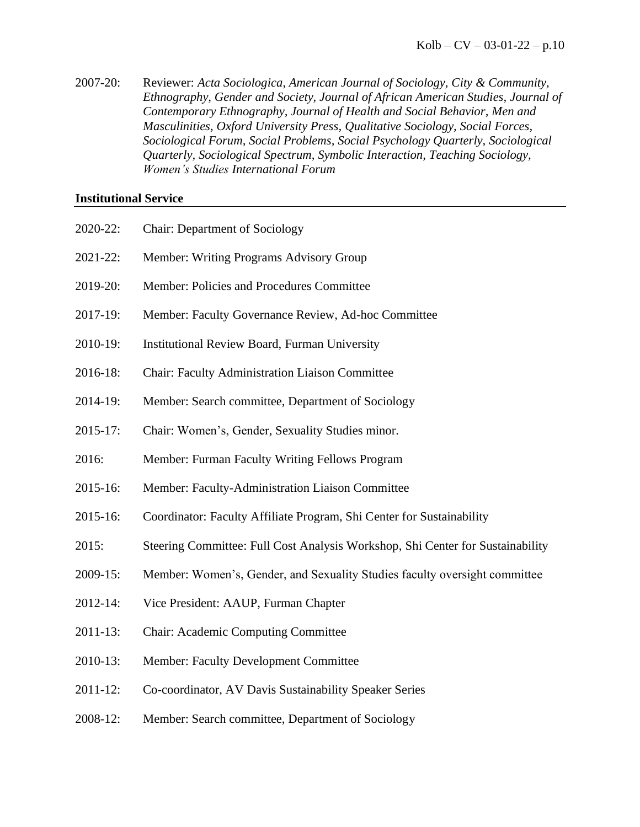2007-20: Reviewer: *Acta Sociologica*, *American Journal of Sociology, City & Community, Ethnography, Gender and Society, Journal of African American Studies, Journal of Contemporary Ethnography, Journal of Health and Social Behavior, Men and Masculinities, Oxford University Press, Qualitative Sociology, Social Forces, Sociological Forum, Social Problems, Social Psychology Quarterly, Sociological Quarterly, Sociological Spectrum, Symbolic Interaction, Teaching Sociology, Women's Studies International Forum*

#### **Institutional Service**

| 2020-22: | <b>Chair: Department of Sociology</b>                                          |
|----------|--------------------------------------------------------------------------------|
| 2021-22: | Member: Writing Programs Advisory Group                                        |
| 2019-20: | Member: Policies and Procedures Committee                                      |
| 2017-19: | Member: Faculty Governance Review, Ad-hoc Committee                            |
| 2010-19: | <b>Institutional Review Board, Furman University</b>                           |
| 2016-18: | <b>Chair: Faculty Administration Liaison Committee</b>                         |
| 2014-19: | Member: Search committee, Department of Sociology                              |
| 2015-17: | Chair: Women's, Gender, Sexuality Studies minor.                               |
| 2016:    | Member: Furman Faculty Writing Fellows Program                                 |
| 2015-16: | Member: Faculty-Administration Liaison Committee                               |
| 2015-16: | Coordinator: Faculty Affiliate Program, Shi Center for Sustainability          |
| 2015:    | Steering Committee: Full Cost Analysis Workshop, Shi Center for Sustainability |
| 2009-15: | Member: Women's, Gender, and Sexuality Studies faculty oversight committee     |
| 2012-14: | Vice President: AAUP, Furman Chapter                                           |
| 2011-13: | Chair: Academic Computing Committee                                            |
| 2010-13: | <b>Member: Faculty Development Committee</b>                                   |

- 2011-12: Co-coordinator, AV Davis Sustainability Speaker Series
- 2008-12: Member: Search committee, Department of Sociology